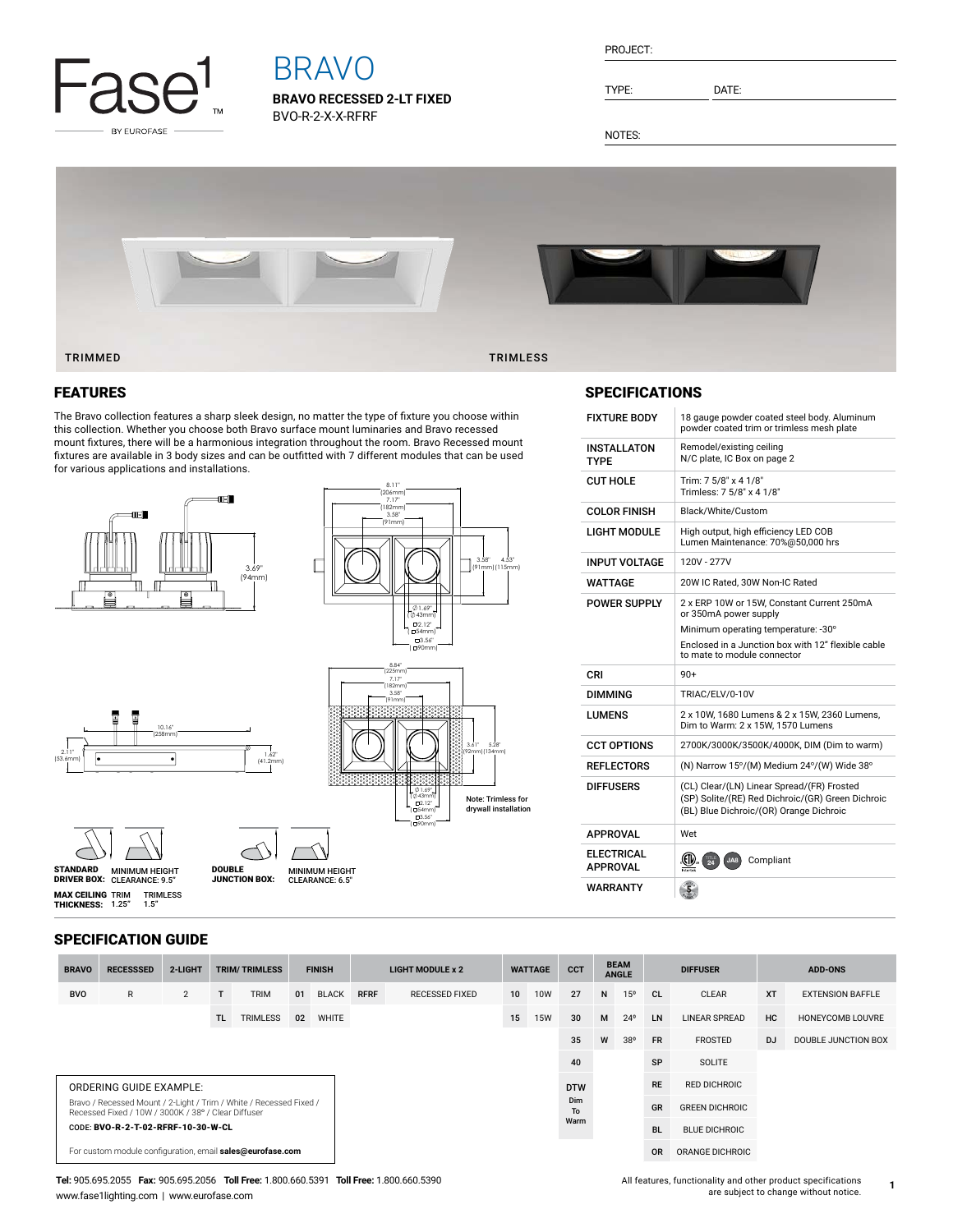

# BRAVO

**BRAVO RECESSED 2-LT FIXED** BVO-R-2-X-X-RFRF

| PROJECT: |  |
|----------|--|
|          |  |
|          |  |

TYPE: DATE:

NOTES:



#### FEATURES

The Bravo collection features a sharp sleek design, no matter the type of fixture you choose within this collection. Whether you choose both Bravo surface mount luminaries and Bravo recessed mount fixtures, there will be a harmonious integration throughout the room. Bravo Recessed mount fixtures are available in 3 body sizes and can be outfitted with 7 different modules that can be used for various applications and installations.

MINIMUM HEIGHT<br>CLEARANCE: 6.5"

 $\prime$ 





#### SPECIFICATIONS

| FIXTURE BODY                  | 18 gauge powder coated steel body. Aluminum<br>powder coated trim or trimless mesh plate                                                   |
|-------------------------------|--------------------------------------------------------------------------------------------------------------------------------------------|
| INSTALLATON<br>TYPF           | Remodel/existing ceiling<br>N/C plate, IC Box on page 2                                                                                    |
| CUT HOLE                      | Trim: 7 5/8" x 4 1/8"<br>Trimless: 7 5/8" x 4 1/8"                                                                                         |
| COLOR FINISH                  | Black/White/Custom                                                                                                                         |
| LIGHT MODULE                  | High output, high efficiency LED COB<br>Lumen Maintenance: 70%@50,000 hrs                                                                  |
| INPUT VOLTAGE                 | 120V - 277V                                                                                                                                |
| WATTAGE                       | 20W IC Rated, 30W Non-IC Rated                                                                                                             |
| POWER SUPPLY                  | 2 x ERP 10W or 15W. Constant Current 250mA<br>or 350mA power supply                                                                        |
|                               | Minimum operating temperature: -30°                                                                                                        |
|                               | Enclosed in a Junction box with 12" flexible cable<br>to mate to module connector                                                          |
| CRI                           | $90+$                                                                                                                                      |
| DIMMING                       | TRIAC/ELV/0-10V                                                                                                                            |
| LUMENS                        | 2 x 10W, 1680 Lumens & 2 x 15W, 2360 Lumens,<br>Dim to Warm: 2 x 15W, 1570 Lumens                                                          |
| CCT OPTIONS                   | 2700K/3000K/3500K/4000K, DIM (Dim to warm)                                                                                                 |
| REFLECTORS                    | (N) Narrow 15°/(M) Medium 24°/(W) Wide 38°                                                                                                 |
| DIFFUSERS                     | (CL) Clear/(LN) Linear Spread/(FR) Frosted<br>(SP) Solite/(RE) Red Dichroic/(GR) Green Dichroic<br>(BL) Blue Dichroic/(OR) Orange Dichroic |
| APPROVAL                      | Wet                                                                                                                                        |
| ELECTRICAL<br><b>APPROVAL</b> | .GIV<br>Compliant<br>JAB<br>Intertes                                                                                                       |
| WARRANTY                      |                                                                                                                                            |

#### SPECIFICATION GUIDE

TRIMLESS 1.5"

10.16" (258mm)

.

**MAX CEILING** TRIM<br>**THICKNESS:** 1.25"

2.11" (53.6mm)

MINIMUM HEIGHT CLEARANCE: 9.5" STANDARD DRIVER BOX: MINIMUM HEIGHT

DOUBLE JUNCTION BOX:

1.62"  $(41)$ 

| <b>BRAVO</b>                                                                                                              | <b>RECESSSED</b>                                          | 2-LIGHT        |     | <b>TRIM/TRIMLESS</b> | <b>FINISH</b> |              | <b>LIGHT MODULE x 2</b> |                       | <b>WATTAGE</b>  |                  | <b>CCT</b> | <b>BEAM</b><br><b>ANGLE</b> |              | <b>DIFFUSER</b> |                        | <b>ADD-ONS</b> |                         |
|---------------------------------------------------------------------------------------------------------------------------|-----------------------------------------------------------|----------------|-----|----------------------|---------------|--------------|-------------------------|-----------------------|-----------------|------------------|------------|-----------------------------|--------------|-----------------|------------------------|----------------|-------------------------|
| <b>BVO</b>                                                                                                                | R                                                         | $\overline{2}$ |     | <b>TRIM</b>          | 01            | <b>BLACK</b> | <b>RFRF</b>             | <b>RECESSED FIXED</b> | 10 <sup>1</sup> | <b>10W</b>       | 27         | N                           | 15°          | CL              | <b>CLEAR</b>           | <b>XT</b>      | <b>EXTENSION BAFFLE</b> |
|                                                                                                                           |                                                           |                | TL. | <b>TRIMLESS</b>      | 02            | <b>WHITE</b> |                         |                       | 15              | <b>15W</b>       | 30         | M                           | $24^{\circ}$ | LN              | <b>LINEAR SPREAD</b>   | HC             | HONEYCOMB LOUVRE        |
|                                                                                                                           |                                                           |                |     |                      |               |              |                         |                       |                 |                  | 35         | W                           | 38°          | <b>FR</b>       | <b>FROSTED</b>         | <b>DJ</b>      | DOUBLE JUNCTION BOX     |
|                                                                                                                           |                                                           |                |     |                      |               |              |                         |                       |                 |                  | 40         |                             |              | SP              | <b>SOLITE</b>          |                |                         |
| ORDERING GUIDE EXAMPLE:                                                                                                   |                                                           |                |     |                      |               |              |                         |                       |                 |                  | <b>DTW</b> |                             |              | <b>RE</b>       | <b>RED DICHROIC</b>    |                |                         |
| Bravo / Recessed Mount / 2-Light / Trim / White / Recessed Fixed /<br>Recessed Fixed / 10W / 3000K / 38° / Clear Diffuser |                                                           |                |     |                      |               |              |                         |                       |                 | <b>Dim</b><br>To |            |                             |              | <b>GR</b>       | <b>GREEN DICHROIC</b>  |                |                         |
|                                                                                                                           | CODE: BVO-R-2-T-02-RFRF-10-30-W-CL                        |                |     |                      |               |              |                         |                       |                 |                  | Warm       |                             |              | <b>BL</b>       | <b>BLUE DICHROIC</b>   |                |                         |
|                                                                                                                           | For custom module configuration, email sales@eurofase.com |                |     |                      |               |              |                         |                       |                 |                  |            |                             |              | <b>OR</b>       | <b>ORANGE DICHROIC</b> |                |                         |

#### **Tel:** 905.695.2055 **Fax:** 905.695.2056 **Toll Free:** 1.800.660.5391 **Toll Free:** 1.800.660.5390 www.fase1lighting.com | www.eurofase.com

### All features, functionality and other product specifications are subject to change without notice.

**1**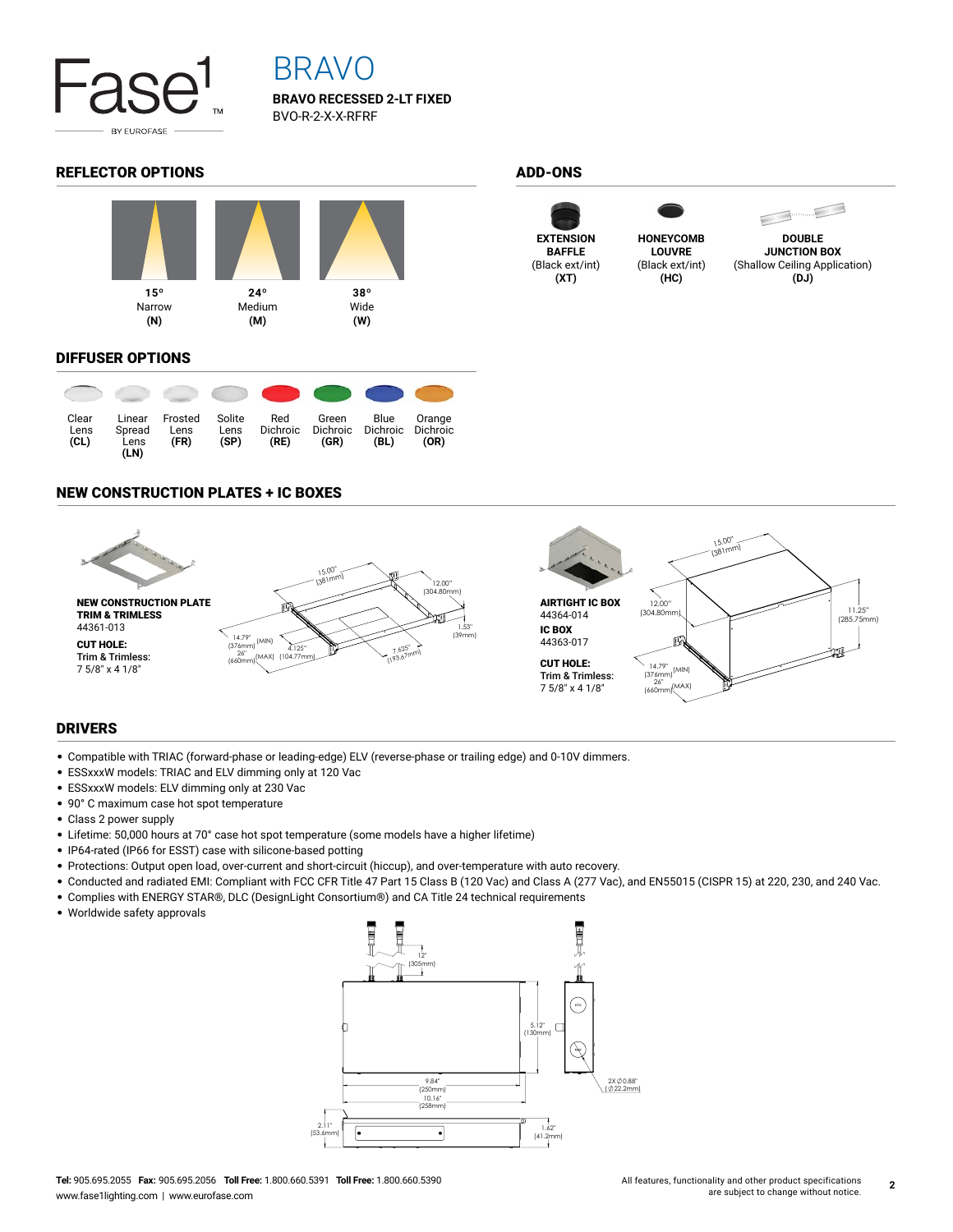

# BRAVO

**BRAVO RECESSED 2-LT FIXED** BVO-R-2-X-X-RFRF

### REFLECTOR OPTIONS ADD-ONS



#### DIFFUSER OPTIONS



### NEW CONSTRUCTION PLATES + IC BOXES



#### DRIVERS

- Compatible with TRIAC (forward-phase or leading-edge) ELV (reverse-phase or trailing edge) and 0-10V dimmers.
- ESSxxxW models: TRIAC and ELV dimming only at 120 Vac
- ESSxxxW models: ELV dimming only at 230 Vac
- 90° C maximum case hot spot temperature
- Class 2 power supply
- Lifetime: 50,000 hours at 70° case hot spot temperature (some models have a higher lifetime)
- IP64-rated (IP66 for ESST) case with silicone-based potting
- Protections: Output open load, over-current and short-circuit (hiccup), and over-temperature with auto recovery.
- Conducted and radiated EMI: Compliant with FCC CFR Title 47 Part 15 Class B (120 Vac) and Class A (277 Vac), and EN55015 (CISPR 15) at 220, 230, and 240 Vac.
- Complies with ENERGY STAR®, DLC (DesignLight Consortium®) and CA Title 24 technical requirements
- Worldwide safety approvals



**EXTENSION BAFFLE** (Black ext/int) **(XT)**



**LOUVRE** (Black ext/int) **(HC)**



 $\begin{picture}(20,20) \put(0,0){\line(1,0){10}} \put(15,0){\line(1,0){10}} \put(15,0){\line(1,0){10}} \put(15,0){\line(1,0){10}} \put(15,0){\line(1,0){10}} \put(15,0){\line(1,0){10}} \put(15,0){\line(1,0){10}} \put(15,0){\line(1,0){10}} \put(15,0){\line(1,0){10}} \put(15,0){\line(1,0){10}} \put(15,0){\line(1,0){10}} \put(15,0){\line(1$ **DOUBLE JUNCTION BOX**

(Shallow Ceiling Application) **(DJ)**

All features, functionality and other product specifications **2**

are subject to change without notice.